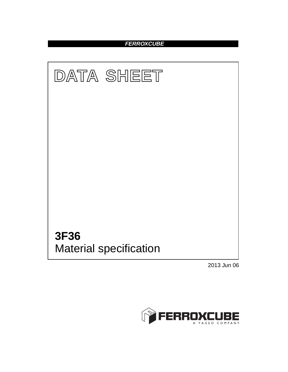## **FERROXCUBE**



2013 Jun 06

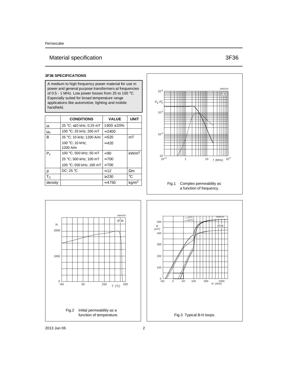# Material specification 3F36

### **3F36 SPECIFICATIONS**

A medium to high frequency power material for use in power and general purpose transformers at frequencies of 0.5 - 1 MHz. Low power losses from 25 to 100 °C. Especially suited for broad temperature range applications like automotive, lighting and mobile handheld.

|           | <b>CONDITIONS</b>           | <b>VALUE</b>   | <b>UNIT</b>       |
|-----------|-----------------------------|----------------|-------------------|
| μi        | 25 °C; ≤10 kHz; 0.25 mT     | $1600 \pm 20%$ |                   |
| $\mu_{a}$ | 100 °C; 25 kHz; 200 mT      | $\approx$ 2400 |                   |
| B         | 25 °C; 10 kHz; 1200 A/m     | $\approx$ 520  | mT                |
|           | 100 °C; 10 kHz;<br>1200 A/m | $\approx 420$  |                   |
| $P_v$     | 100 °C; 500 kHz; 50 mT      | $\approx 90$   | kW/m <sup>3</sup> |
|           | 25 °C; 500 kHz; 100 mT      | $\approx 700$  |                   |
|           | 100 °C; 500 kHz; 100 mT     | $\approx 700$  |                   |
| ρ         | DC; $25^{\circ}$ C          | $\approx$ 12   | $\Omega$ m        |
| $T_{C}$   |                             | $\geq$ 230     | °C                |
| density   |                             | $\approx 4750$ | kg/m <sup>3</sup> |



a function of frequency.



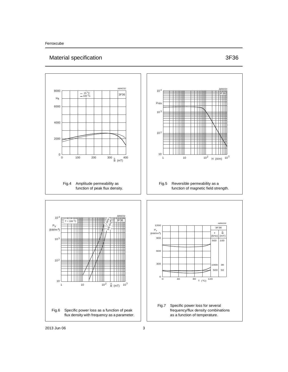## Material specification 3F36